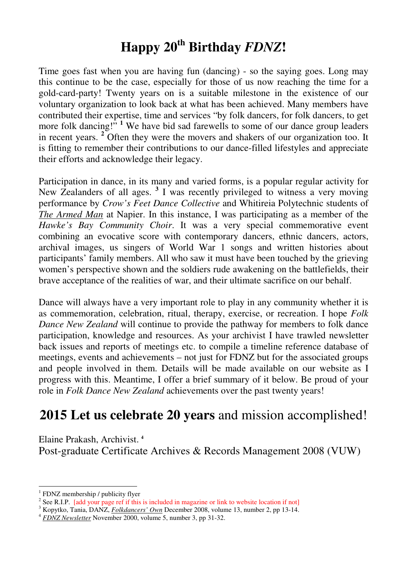# **Happy 20th Birthday** *FDNZ***!**

Time goes fast when you are having fun (dancing) - so the saying goes. Long may this continue to be the case, especially for those of us now reaching the time for a gold-card-party! Twenty years on is a suitable milestone in the existence of our voluntary organization to look back at what has been achieved. Many members have contributed their expertise, time and services "by folk dancers, for folk dancers, to get more folk dancing!"<sup>1</sup> We have bid sad farewells to some of our dance group leaders in recent years. **<sup>2</sup>** Often they were the movers and shakers of our organization too. It is fitting to remember their contributions to our dance-filled lifestyles and appreciate their efforts and acknowledge their legacy.

Participation in dance, in its many and varied forms, is a popular regular activity for New Zealanders of all ages. **<sup>3</sup>** I was recently privileged to witness a very moving performance by *Crow's Feet Dance Collective* and Whitireia Polytechnic students of *The Armed Man* at Napier. In this instance, I was participating as a member of the *Hawke's Bay Community Choir*. It was a very special commemorative event combining an evocative score with contemporary dancers, ethnic dancers, actors, archival images, us singers of World War 1 songs and written histories about participants' family members. All who saw it must have been touched by the grieving women's perspective shown and the soldiers rude awakening on the battlefields, their brave acceptance of the realities of war, and their ultimate sacrifice on our behalf.

Dance will always have a very important role to play in any community whether it is as commemoration, celebration, ritual, therapy, exercise, or recreation. I hope *Folk Dance New Zealand* will continue to provide the pathway for members to folk dance participation, knowledge and resources. As your archivist I have trawled newsletter back issues and reports of meetings etc. to compile a timeline reference database of meetings, events and achievements – not just for FDNZ but for the associated groups and people involved in them. Details will be made available on our website as I progress with this. Meantime, I offer a brief summary of it below. Be proud of your role in *Folk Dance New Zealand* achievements over the past twenty years!

## **2015 Let us celebrate 20 years** and mission accomplished!

Elaine Prakash, Archivist. **<sup>4</sup>** Post-graduate Certificate Archives & Records Management 2008 (VUW)

 $\overline{a}$ 1 FDNZ membership / publicity flyer

<sup>&</sup>lt;sup>2</sup> See R.I.P. [add your page ref if this is included in magazine or link to website location if not]

<sup>3</sup> Kopytko, Tania, DANZ, *Folkdancers' Own* December 2008, volume 13, number 2, pp 13-14.

<sup>4</sup> *FDNZ Newsletter* November 2000, volume 5, number 3, pp 31-32.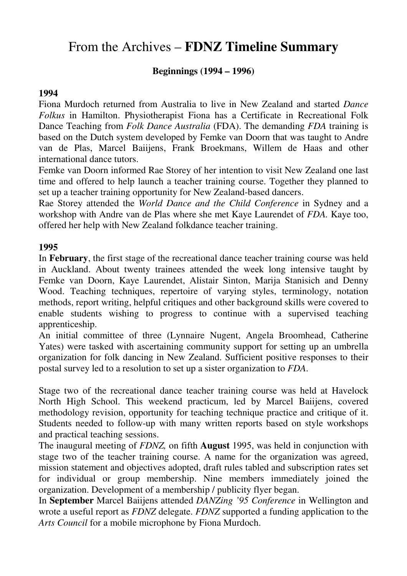## From the Archives – **FDNZ Timeline Summary**

## **Beginnings (1994 – 1996)**

## **1994**

Fiona Murdoch returned from Australia to live in New Zealand and started *Dance Folkus* in Hamilton. Physiotherapist Fiona has a Certificate in Recreational Folk Dance Teaching from *Folk Dance Australia* (FDA). The demanding *FDA* training is based on the Dutch system developed by Femke van Doorn that was taught to Andre van de Plas, Marcel Baiijens, Frank Broekmans, Willem de Haas and other international dance tutors.

Femke van Doorn informed Rae Storey of her intention to visit New Zealand one last time and offered to help launch a teacher training course. Together they planned to set up a teacher training opportunity for New Zealand-based dancers.

Rae Storey attended the *World Dance and the Child Conference* in Sydney and a workshop with Andre van de Plas where she met Kaye Laurendet of *FDA.* Kaye too, offered her help with New Zealand folkdance teacher training.

## **1995**

In **February**, the first stage of the recreational dance teacher training course was held in Auckland. About twenty trainees attended the week long intensive taught by Femke van Doorn, Kaye Laurendet, Alistair Sinton, Marija Stanisich and Denny Wood. Teaching techniques, repertoire of varying styles, terminology, notation methods, report writing, helpful critiques and other background skills were covered to enable students wishing to progress to continue with a supervised teaching apprenticeship.

An initial committee of three (Lynnaire Nugent, Angela Broomhead, Catherine Yates) were tasked with ascertaining community support for setting up an umbrella organization for folk dancing in New Zealand. Sufficient positive responses to their postal survey led to a resolution to set up a sister organization to *FDA*.

Stage two of the recreational dance teacher training course was held at Havelock North High School. This weekend practicum, led by Marcel Baiijens, covered methodology revision, opportunity for teaching technique practice and critique of it. Students needed to follow-up with many written reports based on style workshops and practical teaching sessions.

The inaugural meeting of *FDNZ,* on fifth **August** 1995, was held in conjunction with stage two of the teacher training course. A name for the organization was agreed, mission statement and objectives adopted, draft rules tabled and subscription rates set for individual or group membership. Nine members immediately joined the organization. Development of a membership / publicity flyer began.

In **September** Marcel Baiijens attended *DANZing '95 Conference* in Wellington and wrote a useful report as *FDNZ* delegate. *FDNZ* supported a funding application to the *Arts Council* for a mobile microphone by Fiona Murdoch.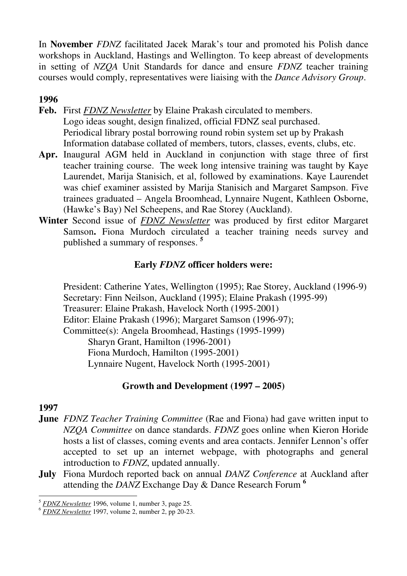In **November** *FDNZ* facilitated Jacek Marak's tour and promoted his Polish dance workshops in Auckland, Hastings and Wellington. To keep abreast of developments in setting of *NZQA* Unit Standards for dance and ensure *FDNZ* teacher training courses would comply, representatives were liaising with the *Dance Advisory Group*.

## **1996**

- **Feb.** First *FDNZ Newsletter* by Elaine Prakash circulated to members. Logo ideas sought, design finalized, official FDNZ seal purchased. Periodical library postal borrowing round robin system set up by Prakash Information database collated of members, tutors, classes, events, clubs, etc.
- **Apr.** Inaugural AGM held in Auckland in conjunction with stage three of first teacher training course. The week long intensive training was taught by Kaye Laurendet, Marija Stanisich, et al, followed by examinations. Kaye Laurendet was chief examiner assisted by Marija Stanisich and Margaret Sampson. Five trainees graduated – Angela Broomhead, Lynnaire Nugent, Kathleen Osborne, (Hawke's Bay) Nel Scheepens, and Rae Storey (Auckland).
- **Winter** Second issue of *FDNZ Newsletter* was produced by first editor Margaret Samson**.** Fiona Murdoch circulated a teacher training needs survey and published a summary of responses. **<sup>5</sup>**

## **Early** *FDNZ* **officer holders were:**

President: Catherine Yates, Wellington (1995); Rae Storey, Auckland (1996-9) Secretary: Finn Neilson, Auckland (1995); Elaine Prakash (1995-99) Treasurer: Elaine Prakash, Havelock North (1995-2001) Editor: Elaine Prakash (1996); Margaret Samson (1996-97); Committee(s): Angela Broomhead, Hastings (1995-1999) Sharyn Grant, Hamilton (1996-2001) Fiona Murdoch, Hamilton (1995-2001) Lynnaire Nugent, Havelock North (1995-2001)

## **Growth and Development (1997 – 2005)**

- **June** *FDNZ Teacher Training Committee* (Rae and Fiona) had gave written input to *NZQA Committee* on dance standards. *FDNZ* goes online when Kieron Horide hosts a list of classes, coming events and area contacts. Jennifer Lennon's offer accepted to set up an internet webpage, with photographs and general introduction to *FDNZ*, updated annually.
- **July** Fiona Murdoch reported back on annual *DANZ Conference* at Auckland after attending the *DANZ* Exchange Day & Dance Research Forum **<sup>6</sup>**

 $\overline{a}$ <sup>5</sup> *FDNZ Newsletter* 1996, volume 1, number 3, page 25.

<sup>6</sup> *FDNZ Newsletter* 1997, volume 2, number 2, pp 20-23.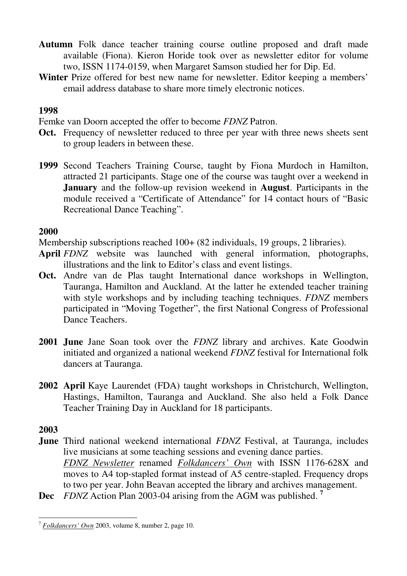- **Autumn** Folk dance teacher training course outline proposed and draft made available (Fiona). Kieron Horide took over as newsletter editor for volume two, ISSN 1174-0159, when Margaret Samson studied her for Dip. Ed.
- **Winter** Prize offered for best new name for newsletter. Editor keeping a members' email address database to share more timely electronic notices.

## **1998**

Femke van Doorn accepted the offer to become *FDNZ* Patron.

- **Oct.** Frequency of newsletter reduced to three per year with three news sheets sent to group leaders in between these.
- **1999** Second Teachers Training Course, taught by Fiona Murdoch in Hamilton, attracted 21 participants. Stage one of the course was taught over a weekend in **January** and the follow-up revision weekend in **August**. Participants in the module received a "Certificate of Attendance" for 14 contact hours of "Basic Recreational Dance Teaching".

## **2000**

Membership subscriptions reached 100+ (82 individuals, 19 groups, 2 libraries).

- **April** *FDNZ* website was launched with general information, photographs, illustrations and the link to Editor's class and event listings.
- **Oct.** Andre van de Plas taught International dance workshops in Wellington, Tauranga, Hamilton and Auckland. At the latter he extended teacher training with style workshops and by including teaching techniques. *FDNZ* members participated in "Moving Together", the first National Congress of Professional Dance Teachers.
- **2001 June** Jane Soan took over the *FDNZ* library and archives. Kate Goodwin initiated and organized a national weekend *FDNZ* festival for International folk dancers at Tauranga.
- **2002 April** Kaye Laurendet (FDA) taught workshops in Christchurch, Wellington, Hastings, Hamilton, Tauranga and Auckland. She also held a Folk Dance Teacher Training Day in Auckland for 18 participants.

- **June** Third national weekend international *FDNZ* Festival, at Tauranga, includes live musicians at some teaching sessions and evening dance parties. *FDNZ Newsletter* renamed *Folkdancers' Own* with ISSN 1176-628X and moves to A4 top-stapled format instead of A5 centre-stapled. Frequency drops to two per year. John Beavan accepted the library and archives management.
- **Dec** *FDNZ* Action Plan 2003-04 arising from the AGM was published. **<sup>7</sup>**

 $\overline{a}$ <sup>7</sup> *Folkdancers' Own* 2003, volume 8, number 2, page 10.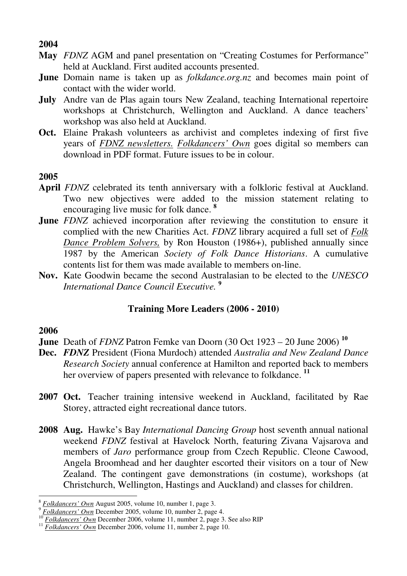## **2004**

- **May** *FDNZ* AGM and panel presentation on "Creating Costumes for Performance" held at Auckland. First audited accounts presented.
- **June** Domain name is taken up as *folkdance.org.nz* and becomes main point of contact with the wider world.
- **July** Andre van de Plas again tours New Zealand, teaching International repertoire workshops at Christchurch, Wellington and Auckland. A dance teachers' workshop was also held at Auckland.
- **Oct.** Elaine Prakash volunteers as archivist and completes indexing of first five years of *FDNZ newsletters. Folkdancers' Own* goes digital so members can download in PDF format. Future issues to be in colour.

## **2005**

- **April** *FDNZ* celebrated its tenth anniversary with a folkloric festival at Auckland. Two new objectives were added to the mission statement relating to encouraging live music for folk dance. **<sup>8</sup>**
- **June** *FDNZ* achieved incorporation after reviewing the constitution to ensure it complied with the new Charities Act. *FDNZ* library acquired a full set of *Folk Dance Problem Solvers,* by Ron Houston (1986+), published annually since 1987 by the American *Society of Folk Dance Historians*. A cumulative contents list for them was made available to members on-line.
- **Nov.** Kate Goodwin became the second Australasian to be elected to the *UNESCO International Dance Council Executive.* **<sup>9</sup>**

## **Training More Leaders (2006 - 2010)**

- **June** Death of *FDNZ* Patron Femke van Doorn (30 Oct 1923 20 June 2006) **<sup>10</sup>**
- **Dec.** *FDNZ* President (Fiona Murdoch) attended *Australia and New Zealand Dance Research Society* annual conference at Hamilton and reported back to members her overview of papers presented with relevance to folkdance. **<sup>11</sup>**
- **2007 Oct.** Teacher training intensive weekend in Auckland, facilitated by Rae Storey, attracted eight recreational dance tutors.
- **2008 Aug.** Hawke's Bay *International Dancing Group* host seventh annual national weekend *FDNZ* festival at Havelock North, featuring Zivana Vajsarova and members of *Jaro* performance group from Czech Republic. Cleone Cawood, Angela Broomhead and her daughter escorted their visitors on a tour of New Zealand. The contingent gave demonstrations (in costume), workshops (at Christchurch, Wellington, Hastings and Auckland) and classes for children.

 $\overline{a}$ <sup>8</sup> *Folkdancers' Own* August 2005, volume 10, number 1, page 3.

<sup>9</sup> *Folkdancers' Own* December 2005, volume 10, number 2, page 4.

<sup>10</sup> *Folkdancers' Own* December 2006, volume 11, number 2, page 3. See also RIP

<sup>&</sup>lt;sup>11</sup> *Folkdancers' Own* December 2006, volume 11, number 2, page 10.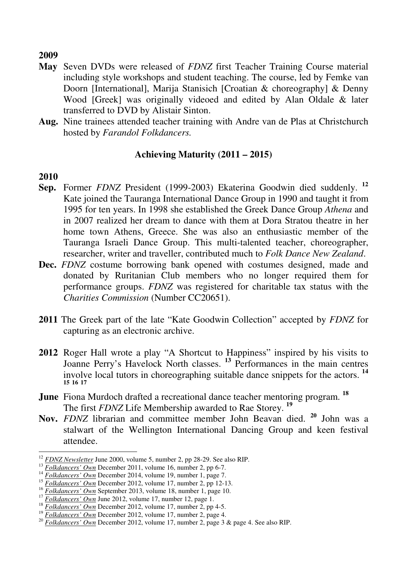#### **2009**

- **May** Seven DVDs were released of *FDNZ* first Teacher Training Course material including style workshops and student teaching. The course, led by Femke van Doorn [International], Marija Stanisich [Croatian & choreography] & Denny Wood [Greek] was originally videoed and edited by Alan Oldale & later transferred to DVD by Alistair Sinton.
- **Aug.** Nine trainees attended teacher training with Andre van de Plas at Christchurch hosted by *Farandol Folkdancers.*

## **Achieving Maturity (2011 – 2015)**

- **Sep.** Former *FDNZ* President (1999-2003) Ekaterina Goodwin died suddenly. **<sup>12</sup>** Kate joined the Tauranga International Dance Group in 1990 and taught it from 1995 for ten years. In 1998 she established the Greek Dance Group *Athena* and in 2007 realized her dream to dance with them at Dora Stratou theatre in her home town Athens, Greece. She was also an enthusiastic member of the Tauranga Israeli Dance Group. This multi-talented teacher, choreographer, researcher, writer and traveller, contributed much to *Folk Dance New Zealand*.
- **Dec.** *FDNZ* costume borrowing bank opened with costumes designed, made and donated by Ruritanian Club members who no longer required them for performance groups. *FDNZ* was registered for charitable tax status with the *Charities Commission* (Number CC20651).
- **2011** The Greek part of the late "Kate Goodwin Collection" accepted by *FDNZ* for capturing as an electronic archive.
- **2012** Roger Hall wrote a play "A Shortcut to Happiness" inspired by his visits to Joanne Perry's Havelock North classes. **<sup>13</sup>** Performances in the main centres involve local tutors in choreographing suitable dance snippets for the actors. **<sup>14</sup> 15 16 17**
- **June** Fiona Murdoch drafted a recreational dance teacher mentoring program. **<sup>18</sup>** The first *FDNZ* Life Membership awarded to Rae Storey. **<sup>19</sup>**
- **Nov.** *FDNZ* librarian and committee member John Beavan died. **<sup>20</sup>** John was a stalwart of the Wellington International Dancing Group and keen festival attendee.

 $\overline{a}$ <sup>12</sup> *FDNZ Newsletter* June 2000, volume 5, number 2, pp 28-29. See also RIP.

<sup>&</sup>lt;sup>13</sup> *Folkdancers' Own* December 2011, volume 16, number 2, pp 6-7.

<sup>14</sup> *Folkdancers' Own* December 2014, volume 19, number 1, page 7.

<sup>&</sup>lt;sup>15</sup> *Folkdancers' Own* December 2012, volume 17, number 2, pp 12-13.<br><sup>16</sup> Folkdancers' Own Soptember 2013, volume 18, number 1, page 10.

<sup>&</sup>lt;sup>16</sup>  $Folkdancers' Own$  September 2013, volume 18, number 1, page 10.<br><sup>17</sup>  $Falldenoars' Own$  line 2012, volume 17, number 12, noon 1

<sup>17</sup> *Folkdancers' Own* June 2012, volume 17, number 12, page 1.

<sup>&</sup>lt;sup>18</sup> Folkdancers' Own December 2012, volume 17, number 2, pp 4-5.

<sup>&</sup>lt;sup>19</sup> Folkdancers' Own December 2012, volume 17, number 2, page 4.

<sup>&</sup>lt;sup>20</sup> *Folkdancers' Own* December 2012, volume 17, number 2, page 3 & page 4. See also RIP.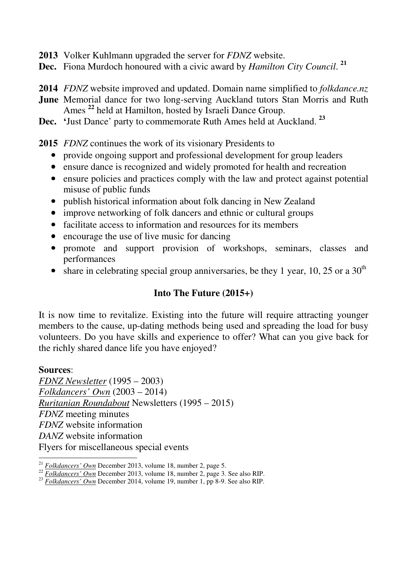- **2013** Volker Kuhlmann upgraded the server for *FDNZ* website.
- **Dec.** Fiona Murdoch honoured with a civic award by *Hamilton City Council*. **21**
- **2014** *FDNZ* website improved and updated. Domain name simplified to *folkdance.nz*
- **June** Memorial dance for two long-serving Auckland tutors Stan Morris and Ruth Ames **<sup>22</sup>** held at Hamilton, hosted by Israeli Dance Group.
- **Dec. '**Just Dance' party to commemorate Ruth Ames held at Auckland. **<sup>23</sup>**

**2015** *FDNZ* continues the work of its visionary Presidents to

- provide ongoing support and professional development for group leaders
- ensure dance is recognized and widely promoted for health and recreation
- ensure policies and practices comply with the law and protect against potential misuse of public funds
- publish historical information about folk dancing in New Zealand
- improve networking of folk dancers and ethnic or cultural groups
- facilitate access to information and resources for its members
- encourage the use of live music for dancing
- promote and support provision of workshops, seminars, classes and performances
- share in celebrating special group anniversaries, be they 1 year, 10, 25 or a  $30<sup>th</sup>$

## **Into The Future (2015+)**

It is now time to revitalize. Existing into the future will require attracting younger members to the cause, up-dating methods being used and spreading the load for busy volunteers. Do you have skills and experience to offer? What can you give back for the richly shared dance life you have enjoyed?

## **Sources**:

*FDNZ Newsletter* (1995 – 2003) *Folkdancers' Own* (2003 – 2014) *Ruritanian Roundabout* Newsletters (1995 – 2015) *FDNZ* meeting minutes *FDNZ* website information *DANZ* website information Flyers for miscellaneous special events

 $\overline{a}$ <sup>21</sup> *Folkdancers' Own* December 2013, volume 18, number 2, page 5.

<sup>&</sup>lt;sup>22</sup> *Folkdancers' Own* December 2013, volume 18, number 2, page 3. See also RIP.

<sup>&</sup>lt;sup>23</sup> *Folkdancers' Own* December 2014, volume 19, number 1, pp 8-9. See also RIP.